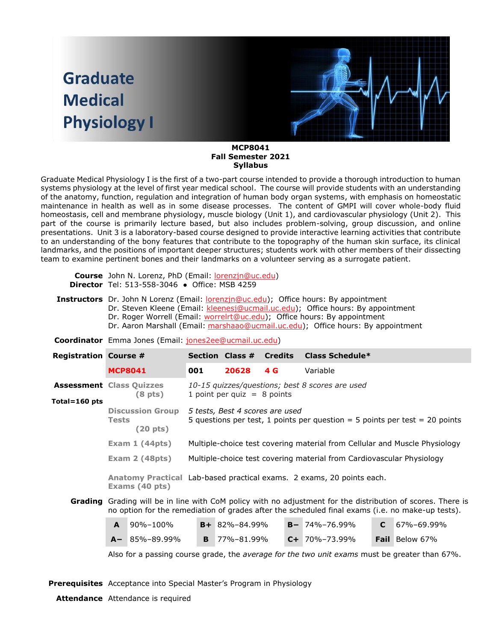# Graduate **Medical Physiology I**



#### **MCP8041 Fall Semester 2021 Syllabus**

Graduate Medical Physiology I is the first of a two-part course intended to provide a thorough introduction to human systems physiology at the level of first year medical school. The course will provide students with an understanding of the anatomy, function, regulation and integration of human body organ systems, with emphasis on homeostatic maintenance in health as well as in some disease processes. The content of GMPI will cover whole-body fluid homeostasis, cell and membrane physiology, muscle biology (Unit 1), and cardiovascular physiology (Unit 2). This part of the course is primarily lecture based, but also includes problem-solving, group discussion, and online presentations. Unit 3 is a laboratory-based course designed to provide interactive learning activities that contribute to an understanding of the bony features that contribute to the topography of the human skin surface, its clinical landmarks, and the positions of important deeper structures; students work with other members of their dissecting team to examine pertinent bones and their landmarks on a volunteer serving as a surrogate patient.

| Course John N. Lorenz, PhD (Email: lorenzjn@uc.edu)  |
|------------------------------------------------------|
| <b>Director</b> Tel: 513-558-3046 • Office: MSB 4259 |

**Instructors** Dr. John N Lorenz (Email: <u>lorenzjn@uc.edu</u>); Office hours: By appointment Dr. Steven Kleene (Email: [kleenesj@ucmail.uc.edu\)](mailto:kleenesj@ucmail.uc.edu); Office hours: By appointment Dr. Roger Worrell (Email: [worrelrt@uc.edu\)](mailto:worrelrt@uc.edu); Office hours: By appointment Dr. Aaron Marshall (Email: [marshaao@ucmail.uc.edu\)](mailto:marshaao@ucmail.uc.edu); Office hours: By appointment

|  | Coordinator Emma Jones (Email: jones2ee@ucmail.uc.edu) |
|--|--------------------------------------------------------|
|  |                                                        |

| <b>Registration Course #</b>    |                                                                                                                                                                                                         |                                                                                               |                                                                                                                | Section Class #      | <b>Credits</b> | Class Schedule*      |    |                |  |  |
|---------------------------------|---------------------------------------------------------------------------------------------------------------------------------------------------------------------------------------------------------|-----------------------------------------------------------------------------------------------|----------------------------------------------------------------------------------------------------------------|----------------------|----------------|----------------------|----|----------------|--|--|
|                                 |                                                                                                                                                                                                         | <b>MCP8041</b>                                                                                | 001                                                                                                            | 20628                | 4 G            | Variable             |    |                |  |  |
| <b>Assessment Class Quizzes</b> |                                                                                                                                                                                                         | (8 pts)                                                                                       | 10-15 quizzes/questions; best 8 scores are used<br>1 point per quiz $= 8$ points                               |                      |                |                      |    |                |  |  |
| Total=160 pts                   | <b>Tests</b>                                                                                                                                                                                            | <b>Discussion Group</b><br>$(20 \text{ pts})$                                                 | 5 tests, Best 4 scores are used<br>5 questions per test, 1 points per question = 5 points per test = 20 points |                      |                |                      |    |                |  |  |
|                                 |                                                                                                                                                                                                         | Exam $1(44pts)$                                                                               | Multiple-choice test covering material from Cellular and Muscle Physiology                                     |                      |                |                      |    |                |  |  |
|                                 |                                                                                                                                                                                                         | Exam $2(48pts)$                                                                               | Multiple-choice test covering material from Cardiovascular Physiology                                          |                      |                |                      |    |                |  |  |
|                                 | Anatomy Practical Lab-based practical exams. 2 exams, 20 points each.<br>Exams (40 pts)                                                                                                                 |                                                                                               |                                                                                                                |                      |                |                      |    |                |  |  |
| Grading                         | Grading will be in line with CoM policy with no adjustment for the distribution of scores. There is<br>no option for the remediation of grades after the scheduled final exams (i.e. no make-up tests). |                                                                                               |                                                                                                                |                      |                |                      |    |                |  |  |
|                                 | A                                                                                                                                                                                                       | $90\% - 100\%$                                                                                |                                                                                                                | $B + 82\% - 84.99\%$ |                | $B - 74\% - 76.99\%$ | C. | 67%-69.99%     |  |  |
|                                 |                                                                                                                                                                                                         | $A - 85\% - 89.99\%$                                                                          | B                                                                                                              | 77%-81.99%           |                | $C + 70\% - 73.99\%$ |    | Fail Below 67% |  |  |
|                                 |                                                                                                                                                                                                         | Also for a passing course grade, the average for the two unit exams must be greater than 67%. |                                                                                                                |                      |                |                      |    |                |  |  |

**Prerequisites** Acceptance into Special Master's Program in Physiology

**Attendance** Attendance is required